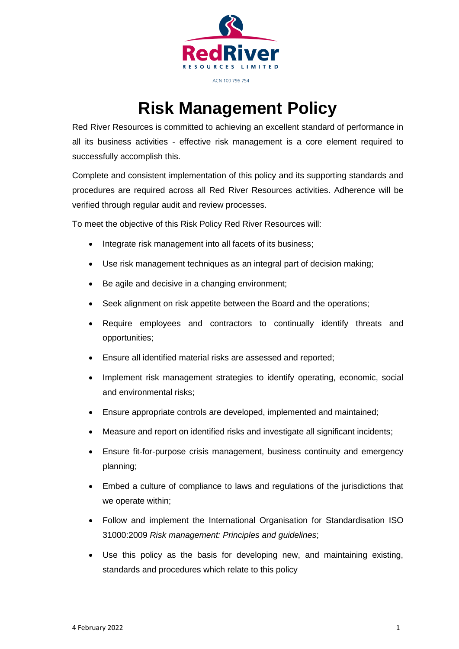

## ACN 100 796 754

## **Risk Management Policy**

Red River Resources is committed to achieving an excellent standard of performance in all its business activities - effective risk management is a core element required to successfully accomplish this.

Complete and consistent implementation of this policy and its supporting standards and procedures are required across all Red River Resources activities. Adherence will be verified through regular audit and review processes.

To meet the objective of this Risk Policy Red River Resources will:

- Integrate risk management into all facets of its business;
- Use risk management techniques as an integral part of decision making;
- Be agile and decisive in a changing environment;
- Seek alignment on risk appetite between the Board and the operations;
- Require employees and contractors to continually identify threats and opportunities;
- Ensure all identified material risks are assessed and reported;
- Implement risk management strategies to identify operating, economic, social and environmental risks;
- Ensure appropriate controls are developed, implemented and maintained;
- Measure and report on identified risks and investigate all significant incidents;
- Ensure fit-for-purpose crisis management, business continuity and emergency planning;
- Embed a culture of compliance to laws and regulations of the jurisdictions that we operate within;
- Follow and implement the International Organisation for Standardisation ISO 31000:2009 *Risk management: Principles and guidelines*;
- Use this policy as the basis for developing new, and maintaining existing, standards and procedures which relate to this policy